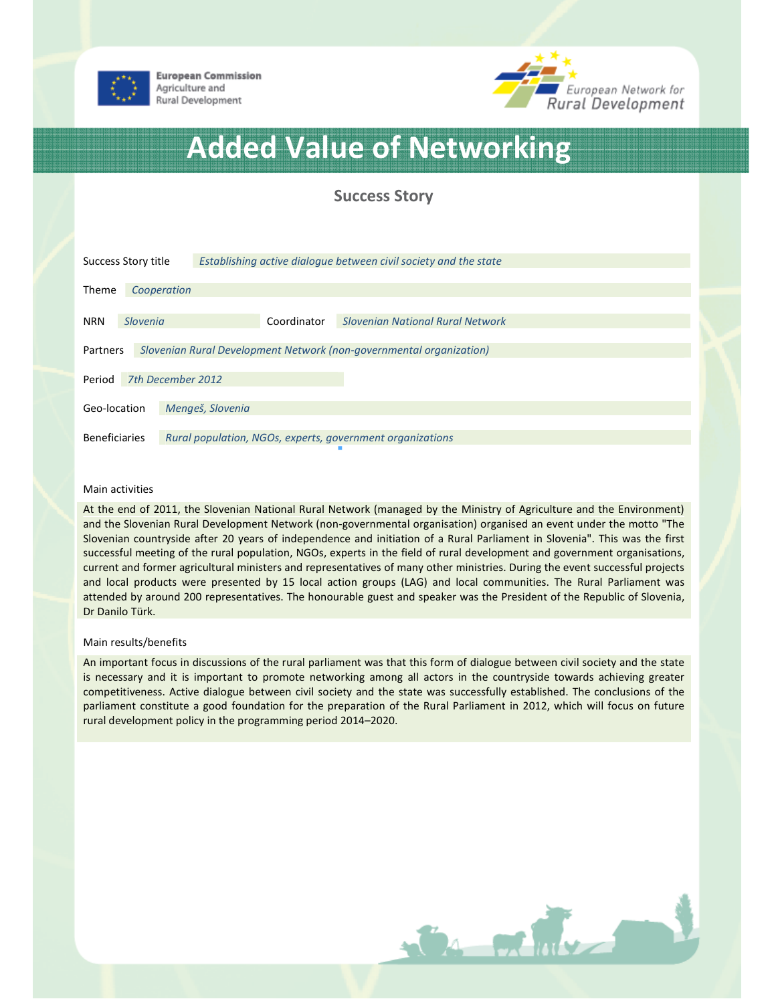

**European Commission** Agriculture and Rural Development



# Added Value of Networking

Success Story

| Success Story title                                                             |             |                  | Establishing active dialogue between civil society and the state |                                                           |  |
|---------------------------------------------------------------------------------|-------------|------------------|------------------------------------------------------------------|-----------------------------------------------------------|--|
| <b>Theme</b>                                                                    | Cooperation |                  |                                                                  |                                                           |  |
| <b>NRN</b>                                                                      | Slovenia    |                  | Coordinator                                                      | <b>Slovenian National Rural Network</b>                   |  |
| Slovenian Rural Development Network (non-governmental organization)<br>Partners |             |                  |                                                                  |                                                           |  |
| 7th December 2012<br>Period                                                     |             |                  |                                                                  |                                                           |  |
| Geo-location                                                                    |             | Mengeš, Slovenia |                                                                  |                                                           |  |
| <b>Beneficiaries</b>                                                            |             |                  |                                                                  | Rural population, NGOs, experts, government organizations |  |

#### Main activities

At the end of 2011, the Slovenian National Rural Network (managed by the Ministry of Agriculture and the Environment) and the Slovenian Rural Development Network (non-governmental organisation) organised an event under the motto "The Slovenian countryside after 20 years of independence and initiation of a Rural Parliament in Slovenia". This was the first successful meeting of the rural population, NGOs, experts in the field of rural development and government organisations, current and former agricultural ministers and representatives of many other ministries. During the event successful projects and local products were presented by 15 local action groups (LAG) and local communities. The Rural Parliament was attended by around 200 representatives. The honourable guest and speaker was the President of the Republic of Slovenia, Dr Danilo Türk.

### Main results/benefits

An important focus in discussions of the rural parliament was that this form of dialogue between civil society and the state is necessary and it is important to promote networking among all actors in the countryside towards achieving greater competitiveness. Active dialogue between civil society and the state was successfully established. The conclusions of the parliament constitute a good foundation for the preparation of the Rural Parliament in 2012, which will focus on future rural development policy in the programming period 2014–2020.